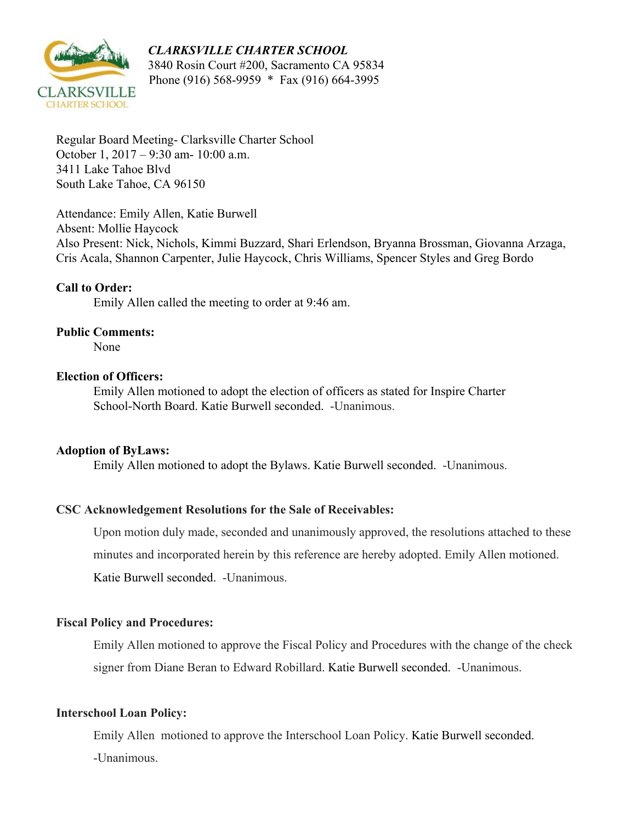#### *CLARKSVILLE CHARTER SCHOOL*



 3840 Rosin Court #200, Sacramento CA 95834 Phone (916) 568-9959 \* Fax (916) 664-3995

Regular Board Meeting- Clarksville Charter School October 1, 2017 – 9:30 am- 10:00 a.m. 3411 Lake Tahoe Blvd South Lake Tahoe, CA 96150

Attendance: Emily Allen, Katie Burwell Absent: Mollie Haycock Also Present: Nick, Nichols, Kimmi Buzzard, Shari Erlendson, Bryanna Brossman, Giovanna Arzaga, Cris Acala, Shannon Carpenter, Julie Haycock, Chris Williams, Spencer Styles and Greg Bordo

#### **Call to Order:**

Emily Allen called the meeting to order at 9:46 am.

#### **Public Comments:**

None

#### **Election of Officers:**

Emily Allen motioned to adopt the election of officers as stated for Inspire Charter School-North Board. Katie Burwell seconded. -Unanimous.

#### **Adoption of ByLaws:**

Emily Allen motioned to adopt the Bylaws. Katie Burwell seconded. -Unanimous.

## **CSC Acknowledgement Resolutions for the Sale of Receivables:**

Upon motion duly made, seconded and unanimously approved, the resolutions attached to these minutes and incorporated herein by this reference are hereby adopted. Emily Allen motioned. Katie Burwell seconded. -Unanimous.

#### **Fiscal Policy and Procedures:**

Emily Allen motioned to approve the Fiscal Policy and Procedures with the change of the check signer from Diane Beran to Edward Robillard. Katie Burwell seconded. -Unanimous.

#### **Interschool Loan Policy:**

Emily Allen motioned to approve the Interschool Loan Policy. Katie Burwell seconded.

-Unanimous.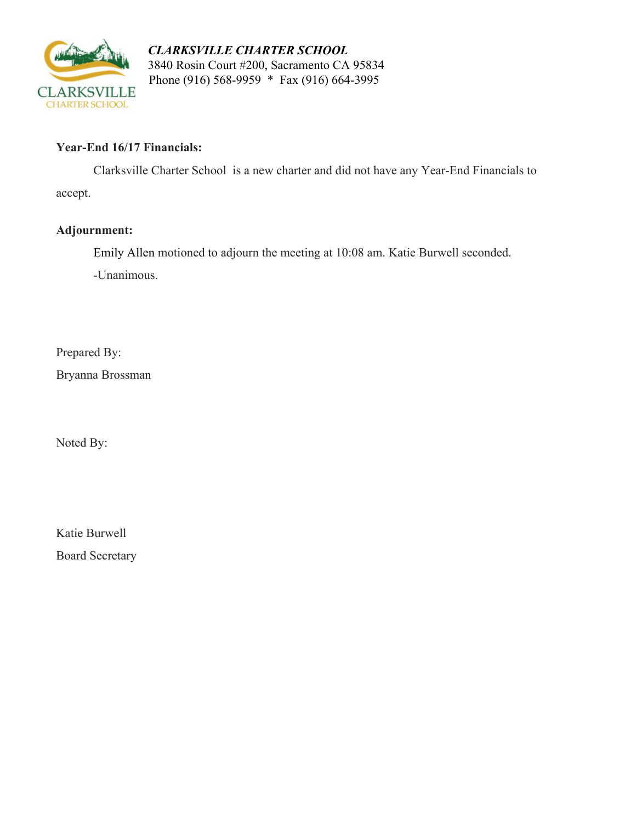

 *CLARKSVILLE CHARTER SCHOOL* 3840 Rosin Court #200, Sacramento CA 95834 Phone (916) 568-9959 \* Fax (916) 664-3995

### **Year-End 16/17 Financials:**

Clarksville Charter School is a new charter and did not have any Year-End Financials to accept.

## **Adjournment:**

Emily Allen motioned to adjourn the meeting at 10:08 am. Katie Burwell seconded.

-Unanimous.

Prepared By:

Bryanna Brossman

Noted By:

Katie Burwell

Board Secretary